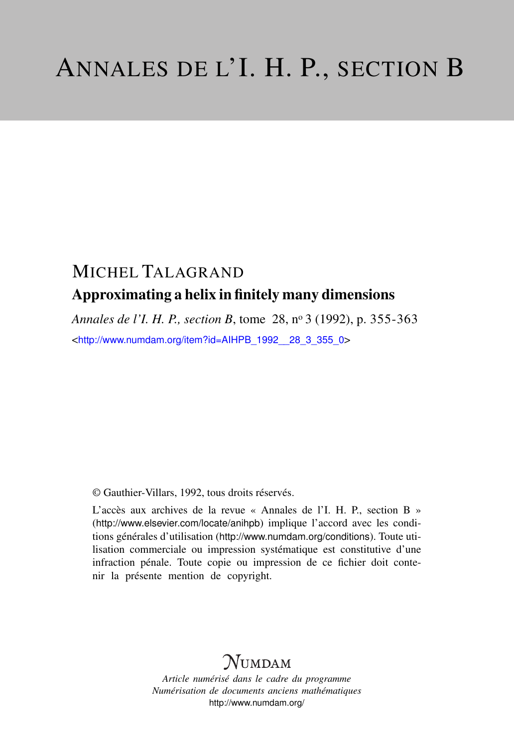# MICHEL TALAGRAND Approximating a helix in finitely many dimensions

*Annales de l'I. H. P., section B*, tome 28, n<sup>o</sup> 3 (1992), p. 355-363 <[http://www.numdam.org/item?id=AIHPB\\_1992\\_\\_28\\_3\\_355\\_0](http://www.numdam.org/item?id=AIHPB_1992__28_3_355_0)>

© Gauthier-Villars, 1992, tous droits réservés.

L'accès aux archives de la revue « Annales de l'I. H. P., section B » (<http://www.elsevier.com/locate/anihpb>) implique l'accord avec les conditions générales d'utilisation (<http://www.numdam.org/conditions>). Toute utilisation commerciale ou impression systématique est constitutive d'une infraction pénale. Toute copie ou impression de ce fichier doit contenir la présente mention de copyright.

## **NUMDAM**

*Article numérisé dans le cadre du programme Numérisation de documents anciens mathématiques* <http://www.numdam.org/>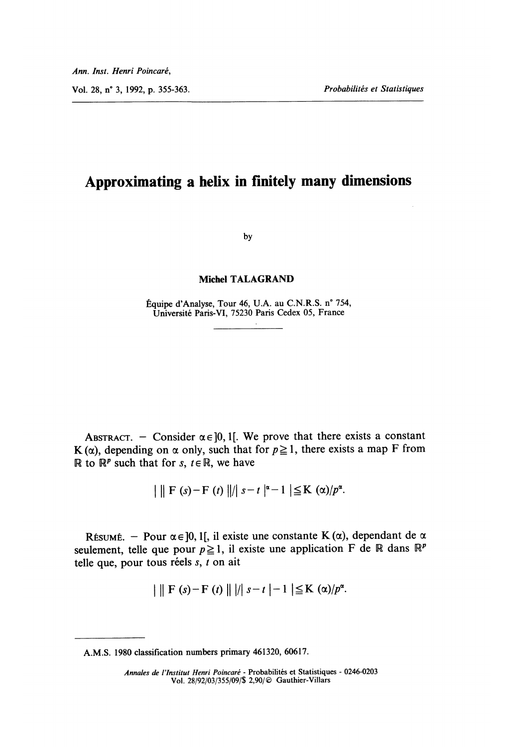### Approximating a helix in finitely many dimensions

by

#### Michel TALAGRAND

Équipe d'Analyse, Tour 46, U.A. au C.N.R.S. n° 754, Universite Paris-VI, 75230 Paris Cedex 05, France  $\sim$ 

ABSTRACT. - Consider  $\alpha \in ]0, 1[$ . We prove that there exists a constant K ( $\alpha$ ), depending on  $\alpha$  only, such that for  $p \ge 1$ , there exists a map F from R to  $\mathbb{R}^p$  such that for s,  $t \in \mathbb{R}$ , we have

 $|| \mathbf{F}(s) - \mathbf{F}(t) ||/| s - t |^{\alpha} - 1 | \leq \mathbf{K}(\alpha)/p^{\alpha}$ .

RÉSUMÉ. - Pour  $\alpha \in ]0,1[$ , il existe une constante K  $(\alpha)$ , dependant de  $\alpha$ seulement, telle que pour  $p \ge 1$ , il existe une application F de R dans  $\mathbb{R}^p$ telle que, pour tous réels  $s, t$  on ait

 $|| \mathbf{F}(s) - \mathbf{F}(t) || || s - t | - 1 | \leq \mathbf{K}(\alpha)/p^{\alpha}$ .

A.M.S. 1980 classification numbers primary 461320, 60617.

Annales de l'Institut Henri Poincaré - Probabilités et Statistiques - 0246-0203 Vol. 28/92/03/355/09/\$ 2,90/© Gauthier-Villars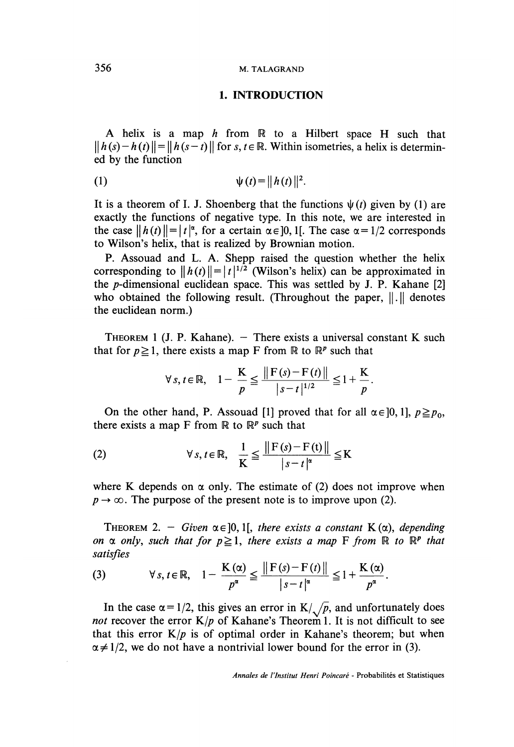#### 356 M. TALAGRAND

#### 1. INTRODUCTION

A helix is a map  $h$  from  $\mathbb R$  to a Hilbert space H such that  $||h(s)-h(t)|| = ||h(s-t)||$  for s,  $t \in \mathbb{R}$ . Within isometries, a helix is determined by the function

(1) 
$$
\psi(t) = ||h(t)||^2.
$$

It is a theorem of I. J. Shoenberg that the functions  $\psi(t)$  given by (1) are exactly the functions of negative type. In this note, we are interested in the case  $||h(t)|| = |t|^{\alpha}$ , for a certain  $\alpha \in ]0,1[$ . The case  $\alpha = 1/2$  corresponds to Wilson's helix, that is realized by Brownian motion.

P. Assouad and L. A. Shepp raised the question whether the helix corresponding to  $||h(t)|| = |t|^{1/2}$  (Wilson's helix) can be approximated in the p-dimensional euclidean space. This was settled by J. P. Kahane [2] who obtained the following result. (Throughout the paper,  $\| \cdot \|$  denotes the euclidean norm.)

THEOREM 1 (J. P. Kahane).  $-$  There exists a universal constant K such that for  $p \ge 1$ , there exists a map F from R to R<sup>*P*</sup> such that

$$
\forall s, t \in \mathbb{R}, \quad 1 - \frac{K}{p} \le \frac{\|F(s) - F(t)\|}{|s - t|^{1/2}} \le 1 + \frac{K}{p}.
$$

On the other hand, P. Assouad [1] proved that for all  $\alpha \in [0,1]$ ,  $p \geq p_0$ , there exists a map F from  $\mathbb R$  to  $\mathbb R^p$  such that

(2) 
$$
\forall s, t \in \mathbb{R}, \quad \frac{1}{K} \leq \frac{\|F(s) - F(t)\|}{|s - t|^{\alpha}} \leq K
$$

where K depends on  $\alpha$  only. The estimate of (2) does not improve when  $p \rightarrow \infty$ . The purpose of the present note is to improve upon (2).

THEOREM 2. - Given  $\alpha \in ]0,1[$ , there exists a constant K( $\alpha$ ), depending on  $\alpha$  only, such that for  $p \ge 1$ , there exists a map F from R to R<sup>p</sup> that satisfies

(3) 
$$
\forall s, t \in \mathbb{R}, \quad 1 - \frac{K(\alpha)}{p^{\alpha}} \leq \frac{\|F(s) - F(t)\|}{|s - t|^{\alpha}} \leq 1 + \frac{K(\alpha)}{p^{\alpha}}.
$$

In the case  $\alpha = 1/2$ , this gives an error in  $K/\sqrt{p}$ , and unfortunately does *not* recover the error  $K/p$  of Kahane's Theorem 1. It is not difficult to see that this error  $K/p$  is of optimal order in Kahane's theorem; but when  $\alpha \neq 1/2$ , we do not have a nontrivial lower bound for the error in (3).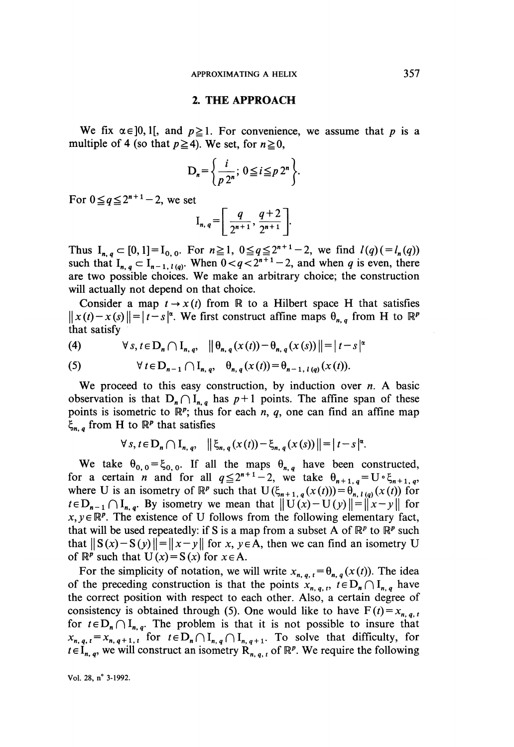#### 2. THE APPROACH

We fix  $\alpha \in ]0, 1[$ , and  $p \ge 1$ . For convenience, we assume that p is a multiple of 4 (so that  $p \ge 4$ ). We set, for  $n \ge 0$ ,

$$
\mathbf{D}_n = \left\{ \frac{i}{p \, 2^n}; \ 0 \leq i \leq p \, 2^n \right\}
$$

For  $0 \leq q \leq 2^{n+1} - 2$ , we set

$$
I_{n, q} = \left[ \frac{q}{2^{n+1}}, \frac{q+2}{2^{n+1}} \right].
$$

Thus  $I_{n,q} \subset [0,1] = I_{0,0}$ . For  $n \ge 1$ ,  $0 \le q \le 2^{n+1}-2$ , we find  $l(q) (=l_n(q))$ such that  $I_{n,q} \subset I_{n-1,l(q)}$ . When  $0 < q < 2^{n+1}-2$ , and when q is even, there are two possible choices. We make an arbitrary choice; the construction will actually not depend on that choice.

Consider a map  $t \to x(t)$  from R to a Hilbert space H that satisfies  $||x(t)-x(s)||=|t-s|^{\alpha}$ . We first construct affine maps  $\theta_{n,q}$  from H to  $\mathbb{R}^p$ that satisfy  $\overline{\phantom{a}}$  ,  $\overline{\phantom{a}}$  ,  $\overline{\phantom{a}}$  ,  $\overline{\phantom{a}}$  ,  $\overline{\phantom{a}}$  ,  $\overline{\phantom{a}}$  ,  $\overline{\phantom{a}}$  ,  $\overline{\phantom{a}}$  ,  $\overline{\phantom{a}}$  ,  $\overline{\phantom{a}}$  ,  $\overline{\phantom{a}}$  ,  $\overline{\phantom{a}}$  ,  $\overline{\phantom{a}}$  ,  $\overline{\phantom{a}}$  ,  $\overline{\phantom{a}}$  ,

$$
(4) \qquad \forall s, t \in D_n \cap I_{n,q}, \quad \left\| \theta_{n,q}(x(t)) - \theta_{n,q}(x(s)) \right\| = |t-s|^{\alpha}
$$

(5) 
$$
\forall t \in D_{n-1} \cap I_{n,q}, \quad \theta_{n,q}(x(t)) = \theta_{n-1, l(q)}(x(t)).
$$

We proceed to this easy construction, by induction over  $n$ . A basic observation is that  $D_n \cap I_{n,q}$  has  $p+1$  points. The affine span of these points is isometric to  $\mathbb{R}^p$ ; thus for each n, q, one can find an affine map  $\xi_{n,q}$  from H to  $\mathbb{R}^p$  that satisfies

$$
\forall s, t \in D_n \cap I_{n, q}, \quad \left\| \xi_{n, q}(x(t)) - \xi_{n, q}(x(s)) \right\| = |t - s|^{\alpha}.
$$

We take  $\theta_{0,0} = \xi_{0,0}$ . If all the maps  $\theta_{n,q}$  have been constructed, for a certain *n* and for all  $q \leq 2^{n+1}-2$ , we take  $\theta_{n+1,q} = U \circ \xi_{n+1,q}$ , where U is an isometry of  $\mathbb{R}^p$  such that  $U(\xi_{n+1,q}(x(t)))=\theta_{n,1(q)}(x(t))$  for  $t \in D_{n-1} \cap I_{n,q}$ . By isometry we mean that  $||U(x)-U(y)|| = ||x-y||$  for  $x, y \in \mathbb{R}^p$ . The existence of U follows from the following elementary fact, that will be used repeatedly: if S is a map from a subset A of  $\mathbb{R}^p$  to  $\mathbb{R}^p$  such that  $||S(x)-S(y)||=||x-y||$  for x,  $y \in A$ , then we can find an isometry U of  $\mathbb{R}^p$  such that  $U(x) = S(x)$  for  $x \in A$ .

For the simplicity of notation, we will write  $x_{n, q, t} = \theta_{n, q}(x(t))$ . The idea of the preceding construction is that the points  $x_{n,q,t}$ ,  $t \in D_n \cap I_{n,q}$  have the correct position with respect to each other. Also, a certain degree of consistency is obtained through (5). One would like to have  $F(t) = x_{n,q,t}$ for  $t \in D_n \cap I_{n,q}$ . The problem is that it is not possible to insure that  $x_{n, q, t} = x_{n, q+1, t}$  for  $t \in D_n \cap I_{n, q} \cap I_{n, q+1}$ . To solve that difficulty, for  $t \in I_{n, q}$ , we will construct an isometry  $R_{n, q, t}$  of  $\mathbb{R}^p$ . We require the following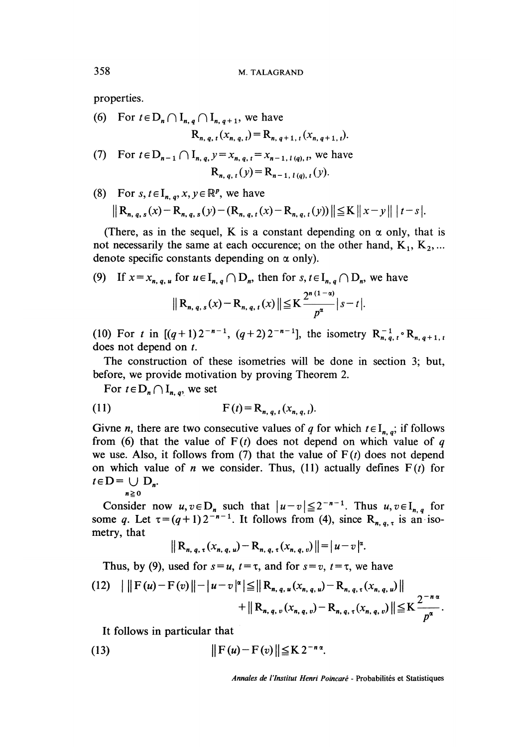properties.

(6) For  $t \in D_n \cap I_{n,q} \cap I_{n,q+1}$ , we have  $R_{n,a,t}(x_{n,a,t}) = R_{n,a+1,t}(x_{n,a+1,t}).$ 

(7) For 
$$
t \in D_{n-1} \cap I_{n, q, y} = x_{n, q, t} = x_{n-1, t(q), t}
$$
, we have  

$$
R_{n, q, t}(y) = R_{n-1, t(q), t}(y).
$$

(8) For  $s, t \in I_{n,q}, x, y \in \mathbb{R}^p$ , we have

$$
\|{\bf R}_{n,\,q,\,s}(x)-{\bf R}_{n,\,q,\,s}(y)-({\bf R}_{n,\,q,\,t}(x)-{\bf R}_{n,\,q,\,t}(y))\|\leq K\,||\,x-y||\,|t-s|.
$$

(There, as in the sequel, K is a constant depending on  $\alpha$  only, that is not necessarily the same at each occurence; on the other hand,  $K_1, K_2, ...$ denote specific constants depending on  $\alpha$  only).

(9) If 
$$
x = x_{n, q, u}
$$
 for  $u \in I_{n, q} \cap D_n$ , then for  $s, t \in I_{n, q} \cap D_n$ , we have  
\n
$$
\|R_{n, q, s}(x) - R_{n, q, t}(x)\| \leq K \frac{2^{n(1-\alpha)}}{p^{\alpha}} |s - t|.
$$

(10) For t in  $[(q+1)2^{-n-1}, (q+2)2^{-n-1}]$ , the isometry  $R_{n, q, t}^{-1} \circ R_{n, q+1, t}$ does not depend on t.

The construction of these isometries will be done in section 3; but, before, we provide motivation by proving Theorem 2.

For  $t \in D_n \cap I_{n,q}$ , we set

(11) 
$$
F(t) = R_{n, q, t}(x_{n, q, t}).
$$

Givne *n*, there are two consecutive values of q for which  $t \in I_{n,q}$ ; if follows from (6) that the value of  $F(t)$  does not depend on which value of q we use. Also, it follows from (7) that the value of  $F(t)$  does not depend on which value of *n* we consider. Thus, (11) actually defines  $F(t)$  for  $t \in D = \bigcup D_n$ .

$$
n\geqq 0
$$

Consider now  $u, v \in D_n$  such that  $|u-v| \leq 2^{-n-1}$ . Thus  $u, v \in I_{n,q}$  for some q. Let  $\tau = (q+1)2^{-n-1}$ . It follows from (4), since  $R_{n,q,\tau}$  is an isometry, that

$$
\|R_{n, q, \tau}(x_{n, q, u}) - R_{n, q, \tau}(x_{n, q, v})\| = |u - v|^{\alpha}.
$$

Thus, by (9), used for  $s = u$ ,  $t = \tau$ , and for  $s = v$ ,  $t = \tau$ , we have

$$
(12) \quad \left| \quad \left| F(u) - F(v) \right| \right| - \left| u - v \right|^{2} \leq \left| R_{n, q, u}(x_{n, q, u}) - R_{n, q, \tau}(x_{n, q, u}) \right| + \left| R_{n, q, v}(x_{n, q, v}) - R_{n, q, \tau}(x_{n, q, v}) \right| \leq K \frac{2^{-n \alpha}}{p^{\alpha}}.
$$

It follows in particular that

(13) 
$$
\|\mathbf{F}(u)-\mathbf{F}(v)\| \leq \mathbf{K} 2^{-n\alpha}.
$$

Annales de l'Institut Henri Poincaré - Probabilités et Statistiques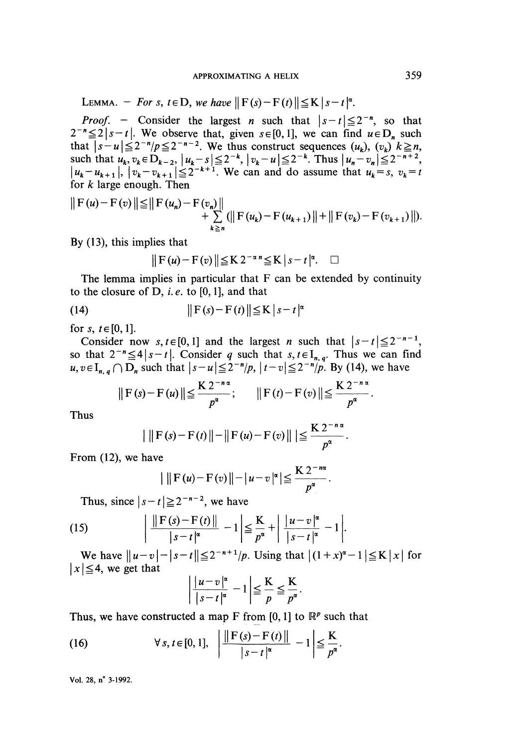LEMMA. - For s,  $t \in D$ , we have  $\|F(s) - F(t)\| \le K |s - t|^{\alpha}$ .

*Proof.* - Consider the largest *n* such that  $|s-t| \le 2^r$ , so that We observe that, given  $s \in [0, 1]$ , we can find  $u \in D_n$  such that  $|s-u| \leq 2^{-n}/p \leq 2^{-n-2}$ . We thus construct sequences  $(u_k)$ ,  $(v_k)$   $k \geq n$ , such that  $u_k, v_k \in D_{k-2}$ ,  $|u_k - s| \leq 2^{-k}$ ,  $|v_k - u| \leq 2^{-k}$ . Thus  $|u_k - u| \leq 2^{-k}$ . We can and do assume that  $u_k = s$ ,  $v_k = t$ for  $k$  large enough. Then

$$
\|F(u)-F(v)\| \leq \|F(u_n)-F(v_n)\| + \sum_{k\geq n} (\|F(u_k)-F(u_{k+1})\| + \|F(v_k)-F(v_{k+1})\|).
$$

By  $(13)$ , this implies that

$$
\|F(u)-F(v)\| \leq K 2^{-\alpha n} \leq K |s-t|^{\alpha}. \quad \Box
$$

The lemma implies in particular that F can be extended by continuity to the closure of  $D$ , *i.e.* to [0, 1], and that

$$
||F(s) - F(t)|| \le K |s - t|^{\alpha}
$$

for s,  $t \in [0, 1]$ .<br>Consider now s,  $t \in [0, 1]$  and the largest *n* such that  $|s-t| \le 2^{-n-1}$ , so that  $2^{-n} \leq 4 | s - t |$ . Consider q such that  $s, t \in I_{n,q}$ . Thus we can find  $u, v \in I_{n,q} \cap D_n$  such that  $|s-u| \leq 2^{-n/p}$ ,  $|t-v| \leq 2^{-n/p}$ . By (14), we have

$$
||F(s)-F(u)|| \leq \frac{K 2^{-n\alpha}}{p^{\alpha}};
$$
  $||F(t)-F(v)|| \leq \frac{K 2^{-n\alpha}}{p^{\alpha}}.$ 

Thus

$$
\left|\|F(s)-F(t)\|-\|F(u)-F(v)\|\right|\leq \frac{K 2^{-n\alpha}}{p^{\alpha}}.
$$

From  $(12)$ , we have

$$
\|\mathbf{F}(u)-\mathbf{F}(v)\|-\left|u-v\right|^{\alpha} \leq \frac{K 2^{-n\alpha}}{p^{\alpha}}.
$$

Thus, since  $|s-t| \geq 2^{-n-2}$ , we have

(15) 
$$
\left| \frac{\|F(s) - F(t)\|}{|s - t|^{\alpha}} - 1 \right| \leq \frac{K}{p^{\alpha}} + \left| \frac{|u - v|^{\alpha}}{|s - t|^{\alpha}} - 1 \right|.
$$

We have  $||u-v|-|s-t|| \le 2^{-n+1}/p$ . Using that  $|(1+x)^{\alpha}-1| \le K |x|$  for  $|x| \leq 4$ , we get that

$$
\left|\frac{|u-v|^{\alpha}}{|s-t|^{\alpha}}-1\right|\leq \frac{K}{p}\leq \frac{K}{p^{\alpha}}.
$$

Thus, we have constructed a map F from [0, 1] to  $\mathbb{R}^p$  such that

(16) 
$$
\forall s, t \in [0, 1], \ \left| \frac{\|F(s) - F(t)\|}{|s - t|^{\alpha}} - 1 \right| \leq \frac{K}{p^{\alpha}}.
$$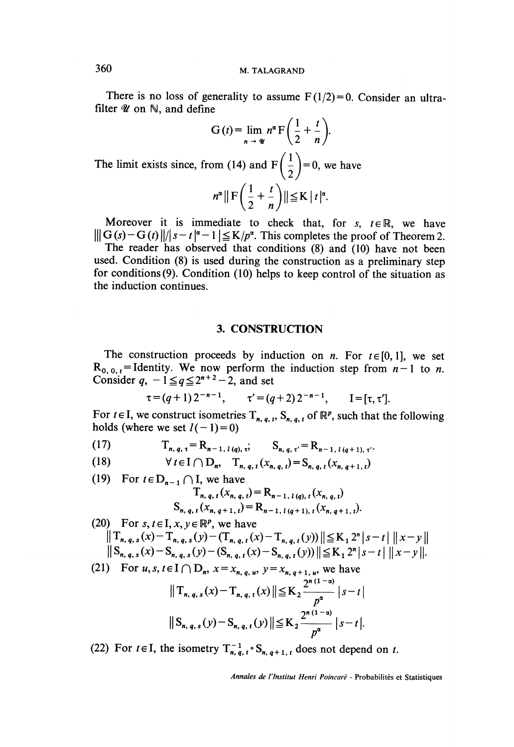There is no loss of generality to assume  $F(1/2)=0$ . Consider an ultrafilter  $\mathscr U$  on  $\mathbb N$ , and define

$$
G(t) = \lim_{n \to \infty} n^{\alpha} F\left(\frac{1}{2} + \frac{t}{n}\right).
$$
  
The limit exists since, from (14) and  $F\left(\frac{1}{2}\right) = 0$ , we have  

$$
n^{\alpha} \|\mathbf{F}\left(\frac{1}{2} + \frac{t}{n}\right)\| \le K |t|^{\alpha}.
$$

Moreover it is immediate to check that, for s,  $t \in \mathbb{R}$ , we have  $\|\mathbf{G}(s)-\mathbf{G}(t)\|/|s-t|^{\alpha}-1|\leq K/p^{\alpha}$ . This completes the proof of Theorem 2.

The reader has observed that conditions (8) and (10) have not been used. Condition (8) is used during the construction as a preliminary step for conditions (9). Condition (10) helps to keep control of the situation as the induction continues.

#### 3. CONSTRUCTION

The construction proceeds by induction on *n*. For  $t \in [0,1]$ , we set  $R_{0, 0, t}$  = Identity. We now perform the induction step from  $n - 1$  to n. Consider  $q$ ,  $-1 \leq q \leq 2^{n+2} - 2$ , and set

$$
\tau = (q+1) 2^{-n-1}, \qquad \tau' = (q+2) 2^{-n-1}, \qquad I = [\tau, \tau'].
$$

For  $t \in I$ , we construct isometries  $T_{n, q, t}$ ,  $S_{n, q, t}$  of  $\mathbb{R}^p$ , such that the following holds (where we set  $l(-1)=0$ )

(17) 
$$
T_{n, q, \tau} = R_{n-1, l(q), \tau}; \quad S_{n, q, \tau'} = R_{n-1, l(q+1), \tau'}
$$
  
(18) 
$$
\forall t \in I \cap D_n, T_{n, q, \tau}(x_{n, q}) = S_{n, q, \tau}(x_{n, q+1})
$$

8) 
$$
\forall t \in I \ (\ | D_n, \quad I_{n, q, t}(x_{n, q, t}) = S_{n, q, t}(x_{n, q+1, t})
$$

(19) For  $t \in D_{n-1} \cap I$ , we have  $T_{n, q, t}(x_{n, q, t}) = R_{n-1, t(q), t}(x_{n, q, t})$  $S_{n, q, t}(x_{n, q+1, t}) = R_{n-1, t(q+1), t}(x_{n, q+1, t}).$ 

(20) For  $s, t \in I, x, y \in \mathbb{R}^p$ , we have  $\|T_{n, q, s}(x) - T_{n, q, s}(y) - (T_{n, q, t}(x) - T_{n, q, t}(y))\| \leq K_1 2^{n} |s - t| \|x - y\|$  $||S_{n, q, s}(x) - S_{n, q, s}(y) - (S_{n, q, t}(x) - S_{n, q, t}(y))|| \le K_1 2^n |s - t| ||x - y||.$ 

(21) For  $u, s, t \in I \cap D_n$ ,  $x = x_{n, q, u}$ ,  $y = x_{n, q+1, u}$ , we have

$$
||T_{n, q, s}(x) - T_{n, q, t}(x)|| \le K_2 \frac{2^{n(1-\alpha)}}{p^{\alpha}} |s - t|
$$
  
 
$$
||S_{n, q, s}(y) - S_{n, q, t}(y)|| \le K_2 \frac{2^{n(1-\alpha)}}{p^{\alpha}} |s - t|.
$$

(22) For  $t \in I$ , the isometry  $T_{n,q,t}^{-1} \circ S_{n,q+1,t}$  does not depend on t.

Annales de l'Institut Henri Poincaré - Probabilités et Statistiques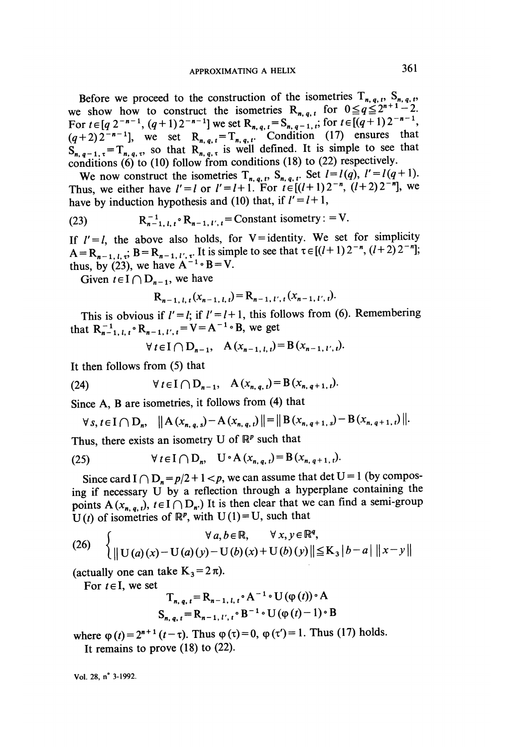Before we proceed to the construction of the isometries  $T_{n, q, t}$ ,  $S_{n, q, t}$ , we show how to construct the isometries  $R_{n, q, t}$  for  $0 \leq q \leq 2^{n+1} - 2$ .<br>For  $t \in [q 2^{-n-1}, (q+1)2^{-n-1}]$  we set  $R_{n, q, t} = S_{n, q-1, t}$ ; for  $(q+2)2^{-n-1}$ , we set  $R_{n, q, t} = T_{n, q, t}$ . Condition (17) ensures that <sup>t</sup>, so that  $R_{n,q,\tau}$  is well defined. It is simple to see that conditions  $(6)$  to  $(10)$  follow from conditions  $(18)$  to  $(22)$  respectively.

We now construct the isometries  $T_{n, q, t}$ ,  $S_{n, q, t}$ . Set  $l = l(q), l' = l(q + 1)$ . Thus, we either have  $l' = l$  or  $l' = l + 1$ . For  $t \in [(l+1)2^{-n}, (l+2)2^{-n}]$ , we have by induction hypothesis and (10) that, if  $l'=l+1$ ,

(23) 
$$
R_{n-1, l, t}^{-1} \cdot R_{n-1, l', t} = \text{Constant isometry} : = V.
$$

If  $l' = l$ , the above also holds, for V = identity. We set for simplicity  $A = R_{n-1, l, \tau}$ ;  $B = R_{n-1, l', \tau}$ . It is simple to see that  $\tau \in [(l+1) 2^{-n}, (l+2) 2^{-n}]$ ; thus, by (23), we have  $A^{-1} \circ B = V$ .

Given  $t \in I \cap D_{n-1}$ , we have

$$
R_{n-1, l, t}(x_{n-1, l, t}) = R_{n-1, l', t}(x_{n-1, l', t}).
$$

This is obvious if  $l' = l$ ; if  $l' = l + 1$ , this follows from (6). Remembering that  $R_{n-1, l, t}^{-1} \circ R_{n-1, l', t} = V = A^{-1} \circ B$ , we get

$$
\forall t \in I \cap D_{n-1}, \quad A(x_{n-1, l, t}) = B(x_{n-1, l', t}).
$$

It then follows from (5) that

(24) 
$$
\forall t \in I \cap D_{n-1}, \quad A(x_{n, q, t}) = B(x_{n, q+1, t}).
$$

Since A, B are isometries, it follows from (4) that

$$
\forall s, t \in I \cap D_n, \quad \|A(x_{n, q, s}) - A(x_{n, q, t})\| = \|B(x_{n, q+1, s}) - B(x_{n, q+1, t})\|.
$$

Thus, there exists an isometry U of  $\mathbb{R}^p$  such that

(25) 
$$
\forall t \in I \cap D_n, \quad U \circ A(x_{n,q,t}) = B(x_{n,q+1,t}).
$$

Since card  $I \cap D_n = p/2 + 1 < p$ , we can assume that det U = 1 (by composing if necessary U by a reflection through a hyperplane containing the points  $A(x_{n,a,t}), t \in I \cap D_n$ . It is then clear that we can find a semi-group  $U(t)$  of isometries of  $\mathbb{R}^p$ , with  $U(1) = U$ , such that

(26) 
$$
\begin{cases} \forall a, b \in \mathbb{R}, & \forall x, y \in \mathbb{R}^q, \\ \| U(a)(x) - U(a)(y) - U(b)(x) + U(b)(y) \| \le K_3 |b - a| \|x - y\| \end{cases}
$$

(actually one can take  $K_3 = 2 \pi$ ).

For  $t \in I$ , we set

$$
\mathbf{T}_{n,q,t} = \mathbf{R}_{n-1,t,t} \cdot \mathbf{A}^{-1} \cdot \mathbf{U} \left( \varphi(t) \right) \cdot \mathbf{A}
$$
  
\n
$$
\mathbf{S}_{n,q,t} = \mathbf{R}_{n-1,t',t} \cdot \mathbf{B}^{-1} \cdot \mathbf{U} \left( \varphi(t) - 1 \right) \cdot \mathbf{B}
$$

where  $\varphi(t)=2^{n+1}(t-\tau)$ . Thus  $\varphi(\tau)=0$ ,  $\varphi(\tau')=1$ . Thus (17) holds.

It remains to prove (18) to (22).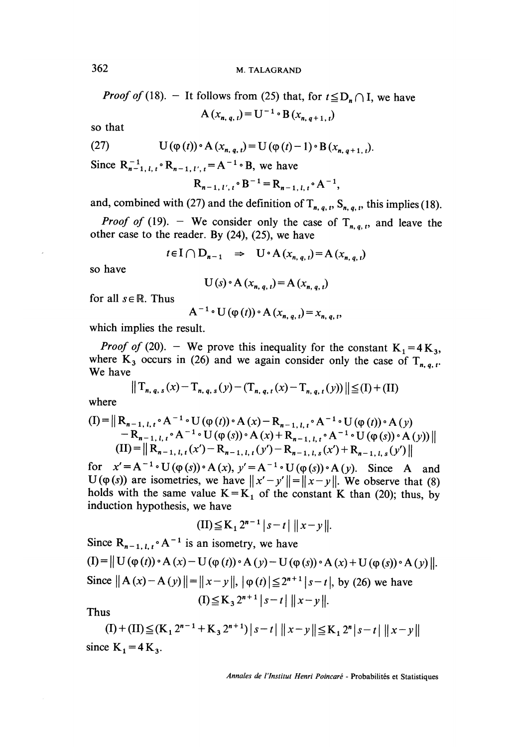*Proof of* (18). - It follows from (25) that, for  $t \le D_n \cap I$ , we have  $A(x_{n, q, t}) = U^{-1} \cdot B(x_{n, q+1, t})$ 

so that

(27) 
$$
U(\varphi(t)) \circ A(x_{n, q, t}) = U(\varphi(t) - 1) \circ B(x_{n, q+1, t}).
$$

Since  $R_{n-1, l, t}^{-1} \circ R_{n-1, l', t} = A^{-1} \circ B$ , we have

$$
R_{n-1, l', t} \cdot B^{-1} = R_{n-1, l, t} \cdot A^{-1},
$$

and, combined with (27) and the definition of  $T_{n, q, t}$ ,  $S_{n, q, t}$ , this implies (18).

*Proof of* (19). - We consider only the case of  $T_{n,q,t}$ , and leave the other case to the reader. By  $(24)$ ,  $(25)$ , we have

$$
t \in I \cap D_{n-1} \Rightarrow U \circ A(x_{n, q, t}) = A(x_{n, q, t})
$$

so have

$$
U(s) \cdot A(x_{n, q, t}) = A(x_{n, q, t})
$$

for all  $s \in \mathbb{R}$ . Thus

$$
A^{-1} \cdot U(\varphi(t)) \cdot A(x_{n, q, t}) = x_{n, q, t},
$$

which implies the result.

*Proof of* (20). - We prove this inequality for the constant  $K_1 = 4K_3$ , where  $K_3$  occurs in (26) and we again consider only the case of  $T_{n, q, t}$ .<br>We have We have  $\mathbb{R}^n$ ,  $\mathbb{R}^n$ 

$$
||T_{n, q, s}(x) - T_{n, q, s}(y) - (T_{n, q, t}(x) - T_{n, q, t}(y))|| \leq (I) + (II)
$$

where

$$
(I) = || R_{n-1, l, t} \circ A^{-1} \circ U(\varphi(t)) \circ A(x) - R_{n-1, l, t} \circ A^{-1} \circ U(\varphi(t)) \circ A(y) - R_{n-1, l, t} \circ A^{-1} \circ U(\varphi(s)) \circ A(x) + R_{n-1, l, t} \circ A^{-1} \circ U(\varphi(s)) \circ A(y) ||(II) = || R_{n-1, l, t}(x') - R_{n-1, l, t}(y') - R_{n-1, l, s}(x') + R_{n-1, l, s}(y') ||
$$

for  $x' = A^{-1} \cdot U(\varphi(s)) \cdot A(x)$ ,  $y' = A^{-1} \cdot U(\varphi(s)) \cdot A(y)$ . Since A and U( $\varphi$ (s)) are isometries, we have  $||x'-y'|| = ||x-y||$ . We observe that (8) holds with the same value  $K = K_1$  of the constant K than (20); thus, by induction hypothesis, we have

$$
(II) \leq K_1 2^{n-1} |s-t| ||x-y||.
$$

Since  $R_{n-1, l, t} \circ A^{-1}$  is an isometry, we have  $(I) = || U (\phi(t)) \cdot A (x) – U (\phi(t)) \cdot A (y) – U (\phi(s)) \cdot A (x) + U (\phi(s)) \cdot A (y) ||.$ Since  $||A(x)-A(y)||=||x-y||$ ,  $|\varphi(t)| \le 2^{n+1}|s-t|$ , by (26) we have  $(I) \le K_3 2^{n+1} |s-t| ||x-y||.$ 

Thus

$$
(I) + (II) ≤ (K1 2n-1 + K3 2n+1) | s-t | ||x-y|| ≤ K1 2n | s-t | ||x-y||
$$
  
since K<sub>1</sub> = 4 K<sub>3</sub>.